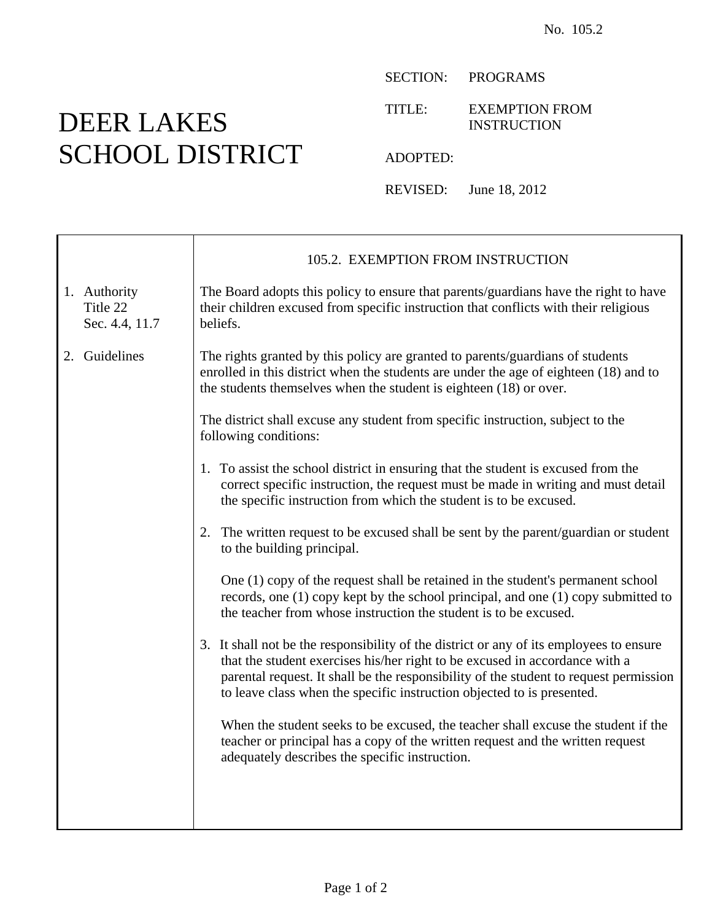## DEER LAKES SCHOOL DISTRICT

 $\top$ 

 $\overline{\Gamma}$ 

SECTION: PROGRAMS

TITLE: EXEMPTION FROM INSTRUCTION

ADOPTED:

REVISED: June 18, 2012

|                                            | 105.2. EXEMPTION FROM INSTRUCTION                                                                                                                                                                                                                                                                                                         |
|--------------------------------------------|-------------------------------------------------------------------------------------------------------------------------------------------------------------------------------------------------------------------------------------------------------------------------------------------------------------------------------------------|
| 1. Authority<br>Title 22<br>Sec. 4.4, 11.7 | The Board adopts this policy to ensure that parents/guardians have the right to have<br>their children excused from specific instruction that conflicts with their religious<br>beliefs.                                                                                                                                                  |
| 2. Guidelines                              | The rights granted by this policy are granted to parents/guardians of students<br>enrolled in this district when the students are under the age of eighteen (18) and to<br>the students themselves when the student is eighteen (18) or over.                                                                                             |
|                                            | The district shall excuse any student from specific instruction, subject to the<br>following conditions:                                                                                                                                                                                                                                  |
|                                            | 1. To assist the school district in ensuring that the student is excused from the<br>correct specific instruction, the request must be made in writing and must detail<br>the specific instruction from which the student is to be excused.                                                                                               |
|                                            | 2. The written request to be excused shall be sent by the parent/guardian or student<br>to the building principal.                                                                                                                                                                                                                        |
|                                            | One (1) copy of the request shall be retained in the student's permanent school<br>records, one (1) copy kept by the school principal, and one (1) copy submitted to<br>the teacher from whose instruction the student is to be excused.                                                                                                  |
|                                            | 3. It shall not be the responsibility of the district or any of its employees to ensure<br>that the student exercises his/her right to be excused in accordance with a<br>parental request. It shall be the responsibility of the student to request permission<br>to leave class when the specific instruction objected to is presented. |
|                                            | When the student seeks to be excused, the teacher shall excuse the student if the<br>teacher or principal has a copy of the written request and the written request<br>adequately describes the specific instruction.                                                                                                                     |
|                                            |                                                                                                                                                                                                                                                                                                                                           |